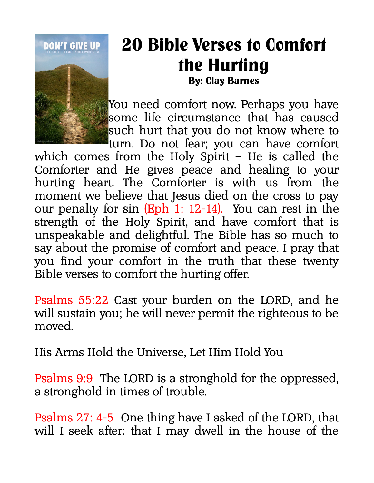

## **20 Bible Verses to Comfort the Hurting By: Clay Barnes**

You need comfort now. Perhaps you have some life circumstance that has caused such hurt that you do not know where to

turn. Do not fear; you can have comfort which comes from the Holy Spirit – He is called the Comforter and He gives peace and healing to your hurting heart. The Comforter is with us from the moment we believe that Jesus died on the cross to pay our penalty for sin (Eph 1: 12-14). You can rest in the strength of the Holy Spirit, and have comfort that is unspeakable and delightful. The Bible has so much to say about the promise of comfort and peace. I pray that you find your comfort in the truth that these twenty Bible verses to comfort the hurting offer.

Psalms 55:22 Cast your burden on the LORD, and he will sustain you; he will never permit the righteous to be moved.

His Arms Hold the Universe, Let Him Hold You

Psalms 9:9 The LORD is a stronghold for the oppressed, a stronghold in times of trouble.

Psalms 27: 4-5 One thing have I asked of the LORD, that will I seek after: that I may dwell in the house of the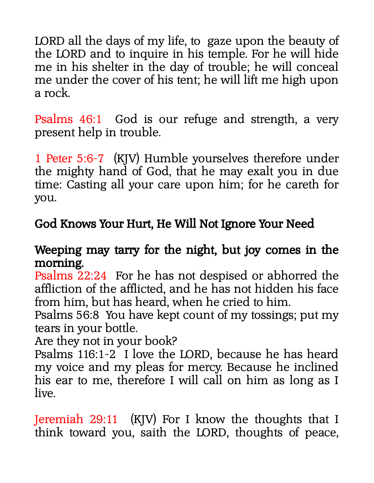LORD all the days of my life, to gaze upon the beauty of the LORD and to inquire in his temple. For he will hide me in his shelter in the day of trouble; he will conceal me under the cover of his tent; he will lift me high upon a rock.

Psalms 46:1 God is our refuge and strength, a very present help in trouble.

1 Peter 5:6-7 (KJV) Humble yourselves therefore under the mighty hand of God, that he may exalt you in due time: Casting all your care upon him; for he careth for you.

## God Knows Your Hurt, He Will Not Ignore Your Need

## Weeping may tarry for the night, but joy comes in the morning.

Psalms 22:24 For he has not despised or abhorred the affliction of the afflicted, and he has not hidden his face from him, but has heard, when he cried to him.

Psalms 56:8 You have kept count of my tossings; put my tears in your bottle.

Are they not in your book?

Psalms 116:1-2 I love the LORD, because he has heard my voice and my pleas for mercy. Because he inclined his ear to me, therefore I will call on him as long as I live.

Jeremiah 29:11 (KJV) For I know the thoughts that I think toward you, saith the LORD, thoughts of peace,